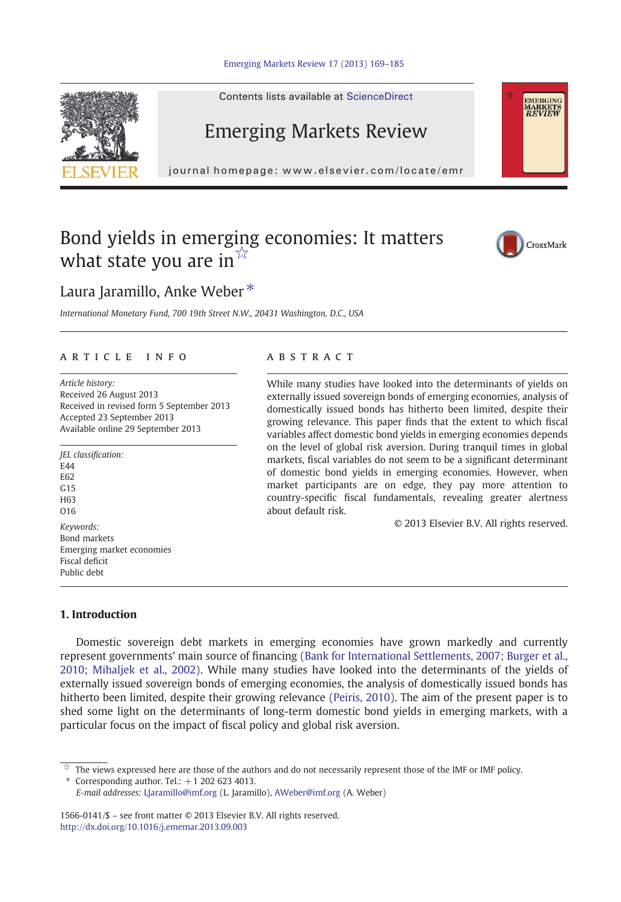



Contents lists available at ScienceDirect

## Emerging Markets Review

journal homepage: www.elsevier.com/locate/emr

## Bond yields in emerging economies: It matters what state you are in $\mathbb{X}$



**EMERGING MARKETS**<br>*REVIEW* 

### Laura Jaramillo, Anke Weber<sup>\*</sup>

International Monetary Fund, 700 19th Street N.W., 20431 Washington, D.C., USA

#### article info abstract

Article history: Received 26 August 2013 Received in revised form 5 September 2013 Accepted 23 September 2013 Available online 29 September 2013

JEL classification: E44 E62  $G15$ H63 O16 Keywords: Bond markets Emerging market economies Fiscal deficit Public debt

While many studies have looked into the determinants of yields on externally issued sovereign bonds of emerging economies, analysis of domestically issued bonds has hitherto been limited, despite their growing relevance. This paper finds that the extent to which fiscal variables affect domestic bond yields in emerging economies depends on the level of global risk aversion. During tranquil times in global markets, fiscal variables do not seem to be a significant determinant of domestic bond yields in emerging economies. However, when market participants are on edge, they pay more attention to country-specific fiscal fundamentals, revealing greater alertness about default risk.

© 2013 Elsevier B.V. All rights reserved.

### 1. Introduction

Domestic sovereign debt markets in emerging economies have grown markedly and currently represent governments' main source of financing ([Bank for International Settlements, 2007; Burger et al.,](#page--1-0) [2010; Mihaljek et al., 2002\)](#page--1-0). While many studies have looked into the determinants of the yields of externally issued sovereign bonds of emerging economies, the analysis of domestically issued bonds has hitherto been limited, despite their growing relevance [\(Peiris, 2010](#page--1-0)). The aim of the present paper is to shed some light on the determinants of long-term domestic bond yields in emerging markets, with a particular focus on the impact of fiscal policy and global risk aversion.

The views expressed here are those of the authors and do not necessarily represent those of the IMF or IMF policy.

Corresponding author. Tel.:  $+1$  202 623 4013.

E-mail addresses: [LJaramillo@imf.org](mailto:LJaramillo@imf.org) (L. Jaramillo), [AWeber@imf.org](mailto:AWeber@imf.org) (A. Weber)

1566-0141/\$ – see front matter © 2013 Elsevier B.V. All rights reserved. <http://dx.doi.org/10.1016/j.ememar.2013.09.003>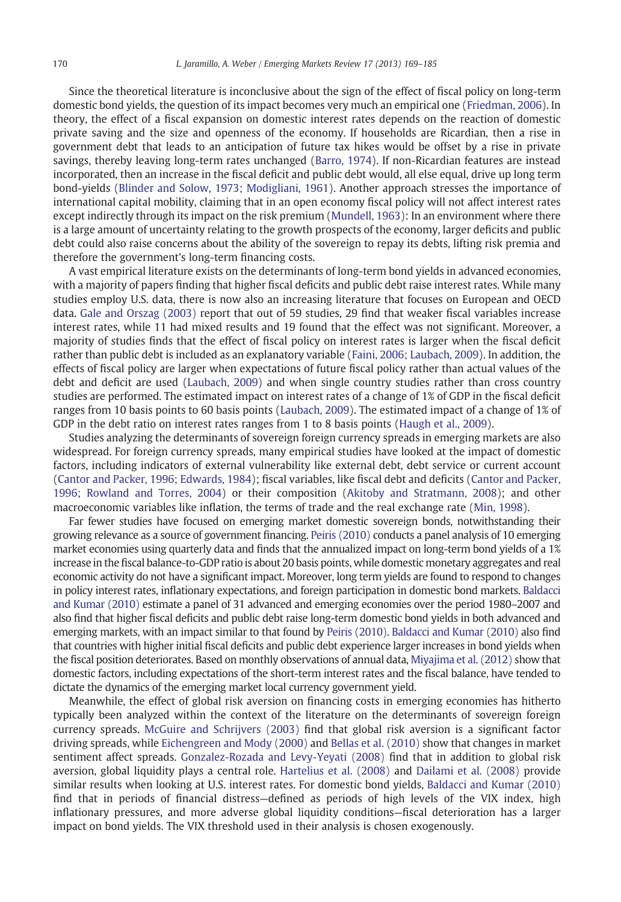Since the theoretical literature is inconclusive about the sign of the effect of fiscal policy on long-term domestic bond yields, the question of its impact becomes very much an empirical one ([Friedman, 2006](#page--1-0)). In theory, the effect of a fiscal expansion on domestic interest rates depends on the reaction of domestic private saving and the size and openness of the economy. If households are Ricardian, then a rise in government debt that leads to an anticipation of future tax hikes would be offset by a rise in private savings, thereby leaving long-term rates unchanged ([Barro, 1974](#page--1-0)). If non-Ricardian features are instead incorporated, then an increase in the fiscal deficit and public debt would, all else equal, drive up long term bond-yields ([Blinder and Solow, 1973; Modigliani, 1961\)](#page--1-0). Another approach stresses the importance of international capital mobility, claiming that in an open economy fiscal policy will not affect interest rates except indirectly through its impact on the risk premium ([Mundell, 1963\)](#page--1-0): In an environment where there is a large amount of uncertainty relating to the growth prospects of the economy, larger deficits and public debt could also raise concerns about the ability of the sovereign to repay its debts, lifting risk premia and therefore the government's long-term financing costs.

A vast empirical literature exists on the determinants of long-term bond yields in advanced economies, with a majority of papers finding that higher fiscal deficits and public debt raise interest rates. While many studies employ U.S. data, there is now also an increasing literature that focuses on European and OECD data. [Gale and Orszag \(2003\)](#page--1-0) report that out of 59 studies, 29 find that weaker fiscal variables increase interest rates, while 11 had mixed results and 19 found that the effect was not significant. Moreover, a majority of studies finds that the effect of fiscal policy on interest rates is larger when the fiscal deficit rather than public debt is included as an explanatory variable [\(Faini, 2006; Laubach, 2009\)](#page--1-0). In addition, the effects of fiscal policy are larger when expectations of future fiscal policy rather than actual values of the debt and deficit are used [\(Laubach, 2009](#page--1-0)) and when single country studies rather than cross country studies are performed. The estimated impact on interest rates of a change of 1% of GDP in the fiscal deficit ranges from 10 basis points to 60 basis points [\(Laubach, 2009](#page--1-0)). The estimated impact of a change of 1% of GDP in the debt ratio on interest rates ranges from 1 to 8 basis points ([Haugh et al., 2009](#page--1-0)).

Studies analyzing the determinants of sovereign foreign currency spreads in emerging markets are also widespread. For foreign currency spreads, many empirical studies have looked at the impact of domestic factors, including indicators of external vulnerability like external debt, debt service or current account ([Cantor and Packer, 1996; Edwards, 1984](#page--1-0)); fiscal variables, like fiscal debt and deficits [\(Cantor and Packer,](#page--1-0) [1996; Rowland and Torres, 2004](#page--1-0)) or their composition ([Akitoby and Stratmann, 2008\)](#page--1-0); and other macroeconomic variables like inflation, the terms of trade and the real exchange rate [\(Min, 1998](#page--1-0)).

Far fewer studies have focused on emerging market domestic sovereign bonds, notwithstanding their growing relevance as a source of government financing. [Peiris \(2010\)](#page--1-0) conducts a panel analysis of 10 emerging market economies using quarterly data and finds that the annualized impact on long-term bond yields of a 1% increase in the fiscal balance-to-GDP ratio is about 20 basis points, while domestic monetary aggregates and real economic activity do not have a significant impact. Moreover, long term yields are found to respond to changes in policy interest rates, inflationary expectations, and foreign participation in domestic bond markets. [Baldacci](#page--1-0) [and Kumar \(2010\)](#page--1-0) estimate a panel of 31 advanced and emerging economies over the period 1980–2007 and also find that higher fiscal deficits and public debt raise long-term domestic bond yields in both advanced and emerging markets, with an impact similar to that found by [Peiris \(2010\).](#page--1-0) [Baldacci and Kumar \(2010\)](#page--1-0) also find that countries with higher initial fiscal deficits and public debt experience larger increases in bond yields when the fiscal position deteriorates. Based on monthly observations of annual data, [Miyajima et al. \(2012\)](#page--1-0) show that domestic factors, including expectations of the short-term interest rates and the fiscal balance, have tended to dictate the dynamics of the emerging market local currency government yield.

Meanwhile, the effect of global risk aversion on financing costs in emerging economies has hitherto typically been analyzed within the context of the literature on the determinants of sovereign foreign currency spreads. [McGuire and Schrijvers \(2003\)](#page--1-0) find that global risk aversion is a significant factor driving spreads, while [Eichengreen and Mody \(2000\)](#page--1-0) and [Bellas et al. \(2010\)](#page--1-0) show that changes in market sentiment affect spreads. [Gonzalez-Rozada and Levy-Yeyati \(2008\)](#page--1-0) find that in addition to global risk aversion, global liquidity plays a central role. [Hartelius et al. \(2008\)](#page--1-0) and [Dailami et al. \(2008\)](#page--1-0) provide similar results when looking at U.S. interest rates. For domestic bond yields, [Baldacci and Kumar \(2010\)](#page--1-0) find that in periods of financial distress—defined as periods of high levels of the VIX index, high inflationary pressures, and more adverse global liquidity conditions—fiscal deterioration has a larger impact on bond yields. The VIX threshold used in their analysis is chosen exogenously.